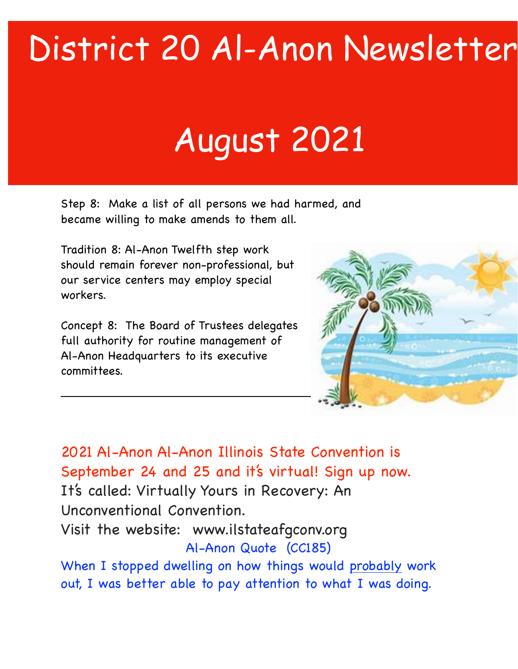## District 20 Al-Anon Newsletter

## August 2021

Step 8: Make a list of all persons we had harmed, and became willing to make amends to them all.

Tradition 8: Al-Anon Twelfth step work should remain forever non-professional, but our service centers may employ special workers.

Concept 8: The Board of Trustees delegates full authority for routine management of Al-Anon Headquarters to its executive committees.



2021 Al-Anon Al-Anon Illinois State Convention is September 24 and 25 and it's virtual! Sign up now. It's called: Virtually Yours in Recovery: An Unconventional Convention. Visit the website: www.ilstateafgconv.org

Al-Anon Quote (CC185)

When I stopped dwelling on how things would probably work out, I was better able to pay attention to what I was doing.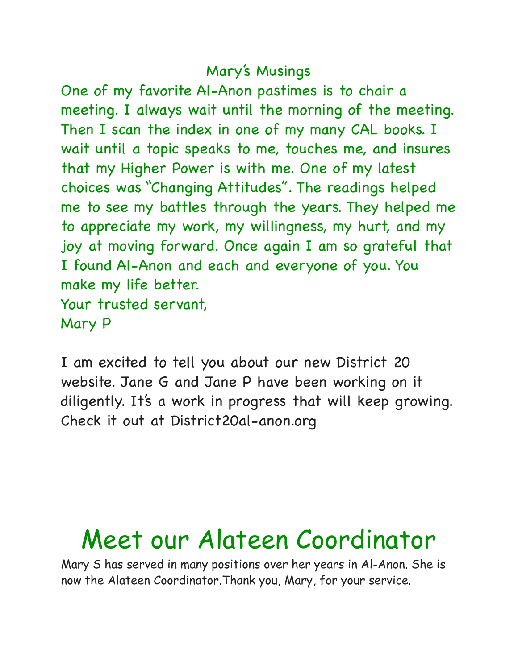## Mary's Musings

One of my favorite Al-Anon pastimes is to chair a meeting. I always wait until the morning of the meeting. Then I scan the index in one of my many CAL books. I wait until a topic speaks to me, touches me, and insures that my Higher Power is with me. One of my latest choices was "Changing Attitudes". The readings helped me to see my battles through the years. They helped me to appreciate my work, my willingness, my hurt, and my joy at moving forward. Once again I am so grateful that I found Al-Anon and each and everyone of you. You make my life better. Your trusted servant, Mary P

I am excited to tell you about our new District 20 website. Jane G and Jane P have been working on it diligently. It's a work in progress that will keep growing. Check it out at District20al-anon.org

## Meet our Alateen Coordinator

Mary S has served in many positions over her years in Al-Anon. She is now the Alateen Coordinator.Thank you, Mary, for your service.